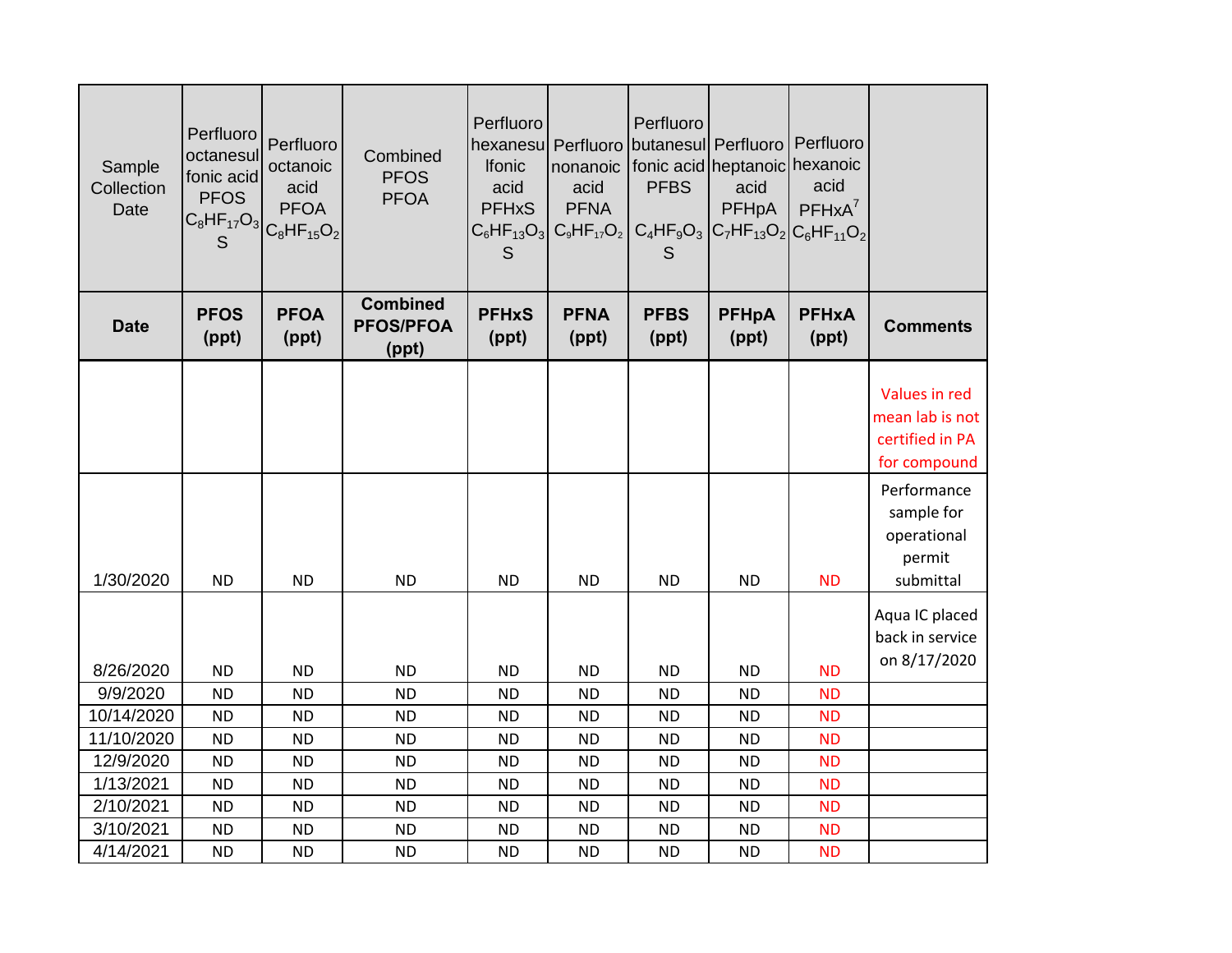| Sample<br>Collection<br>Date | Perfluoro<br>octanesul<br>fonic acid<br><b>PFOS</b><br>S | Perfluoro<br>octanoic<br>acid<br><b>PFOA</b><br>$ C_8$ HF <sub>17</sub> O <sub>3</sub> $ C_8$ HF <sub>15</sub> O <sub>2</sub> | Combined<br><b>PFOS</b><br><b>PFOA</b>       | Perfluoro<br><b>Ifonic</b><br>acid<br><b>PFHxS</b><br>S | hexanesu   Perfluoro   butanesul   Perfluoro   Perfluoro<br>acid<br><b>PFNA</b><br>$C_6$ HF <sub>13</sub> O <sub>3</sub> $C_9$ HF <sub>17</sub> O <sub>2</sub> | Perfluoro<br>nonanoic fonic acid heptanoic hexanoic<br><b>PFBS</b><br>S | acid<br><b>PFHpA</b><br>$C_4HF_9O_3$ $C_7HF_{13}O_2$ $C_6HF_{11}O_2$ | acid<br>$PFHxA^7$     |                                                                     |
|------------------------------|----------------------------------------------------------|-------------------------------------------------------------------------------------------------------------------------------|----------------------------------------------|---------------------------------------------------------|----------------------------------------------------------------------------------------------------------------------------------------------------------------|-------------------------------------------------------------------------|----------------------------------------------------------------------|-----------------------|---------------------------------------------------------------------|
| <b>Date</b>                  | <b>PFOS</b><br>(ppt)                                     | <b>PFOA</b><br>(ppt)                                                                                                          | <b>Combined</b><br><b>PFOS/PFOA</b><br>(ppt) | <b>PFHxS</b><br>(ppt)                                   | <b>PFNA</b><br>(ppt)                                                                                                                                           | <b>PFBS</b><br>(ppt)                                                    | <b>PFHpA</b><br>(ppt)                                                | <b>PFHxA</b><br>(ppt) | <b>Comments</b>                                                     |
|                              |                                                          |                                                                                                                               |                                              |                                                         |                                                                                                                                                                |                                                                         |                                                                      |                       | Values in red<br>mean lab is not<br>certified in PA<br>for compound |
| 1/30/2020                    | <b>ND</b>                                                | <b>ND</b>                                                                                                                     | <b>ND</b>                                    | <b>ND</b>                                               | <b>ND</b>                                                                                                                                                      | <b>ND</b>                                                               | <b>ND</b>                                                            | <b>ND</b>             | Performance<br>sample for<br>operational<br>permit<br>submittal     |
| 8/26/2020                    | <b>ND</b>                                                | <b>ND</b>                                                                                                                     | <b>ND</b>                                    | <b>ND</b>                                               | <b>ND</b>                                                                                                                                                      | <b>ND</b>                                                               | <b>ND</b>                                                            | <b>ND</b>             | Aqua IC placed<br>back in service<br>on 8/17/2020                   |
| 9/9/2020                     | <b>ND</b>                                                | <b>ND</b>                                                                                                                     | <b>ND</b>                                    | <b>ND</b>                                               | <b>ND</b>                                                                                                                                                      | <b>ND</b>                                                               | <b>ND</b>                                                            | <b>ND</b>             |                                                                     |
| 10/14/2020                   | <b>ND</b>                                                | <b>ND</b>                                                                                                                     | <b>ND</b>                                    | <b>ND</b>                                               | <b>ND</b>                                                                                                                                                      | <b>ND</b>                                                               | <b>ND</b>                                                            | <b>ND</b>             |                                                                     |
| 11/10/2020                   | <b>ND</b>                                                | <b>ND</b>                                                                                                                     | <b>ND</b>                                    | <b>ND</b>                                               | <b>ND</b>                                                                                                                                                      | <b>ND</b>                                                               | <b>ND</b>                                                            | <b>ND</b>             |                                                                     |
| 12/9/2020                    | <b>ND</b>                                                | <b>ND</b>                                                                                                                     | <b>ND</b>                                    | <b>ND</b>                                               | <b>ND</b>                                                                                                                                                      | <b>ND</b>                                                               | <b>ND</b>                                                            | <b>ND</b>             |                                                                     |
| 1/13/2021                    | <b>ND</b>                                                | <b>ND</b>                                                                                                                     | <b>ND</b>                                    | <b>ND</b>                                               | <b>ND</b>                                                                                                                                                      | <b>ND</b>                                                               | <b>ND</b>                                                            | <b>ND</b>             |                                                                     |
| 2/10/2021                    | <b>ND</b>                                                | <b>ND</b>                                                                                                                     | <b>ND</b>                                    | <b>ND</b>                                               | <b>ND</b>                                                                                                                                                      | <b>ND</b>                                                               | <b>ND</b>                                                            | <b>ND</b>             |                                                                     |
| 3/10/2021                    | <b>ND</b>                                                | <b>ND</b>                                                                                                                     | <b>ND</b>                                    | <b>ND</b>                                               | <b>ND</b>                                                                                                                                                      | <b>ND</b>                                                               | <b>ND</b>                                                            | <b>ND</b>             |                                                                     |
| 4/14/2021                    | <b>ND</b>                                                | <b>ND</b>                                                                                                                     | <b>ND</b>                                    | <b>ND</b>                                               | <b>ND</b>                                                                                                                                                      | <b>ND</b>                                                               | <b>ND</b>                                                            | <b>ND</b>             |                                                                     |